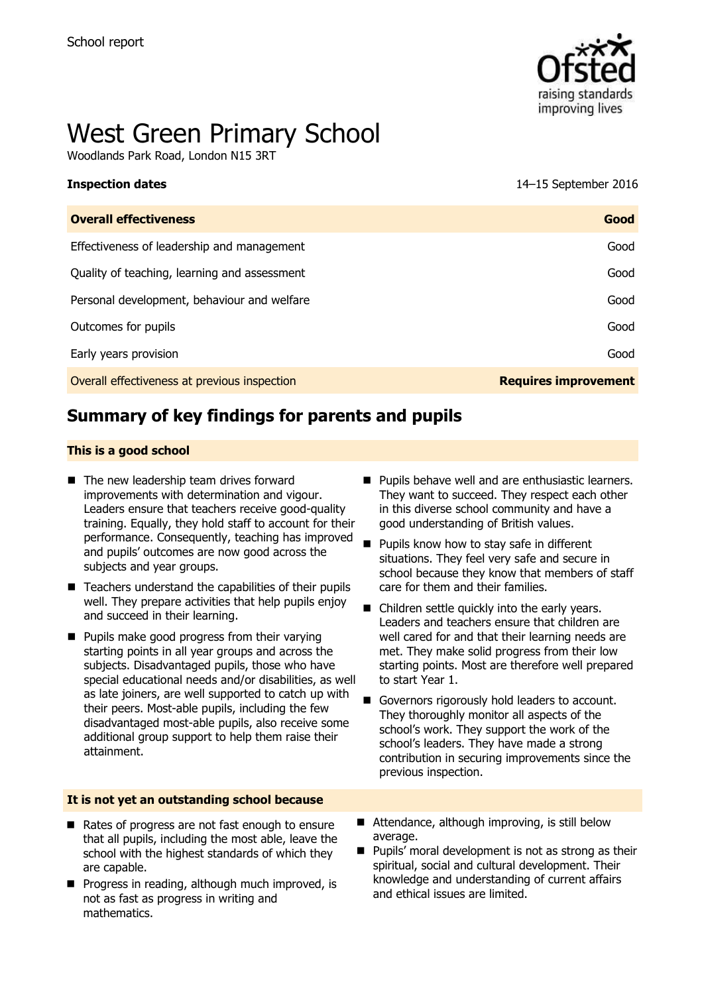

# West Green Primary School

Woodlands Park Road, London N15 3RT

| <b>Inspection dates</b> | 14-15 September 2016 |
|-------------------------|----------------------|

| <b>Overall effectiveness</b>                 | Good                        |
|----------------------------------------------|-----------------------------|
| Effectiveness of leadership and management   | Good                        |
| Quality of teaching, learning and assessment | Good                        |
| Personal development, behaviour and welfare  | Good                        |
| Outcomes for pupils                          | Good                        |
| Early years provision                        | Good                        |
| Overall effectiveness at previous inspection | <b>Requires improvement</b> |

# **Summary of key findings for parents and pupils**

#### **This is a good school**

- The new leadership team drives forward improvements with determination and vigour. Leaders ensure that teachers receive good-quality training. Equally, they hold staff to account for their performance. Consequently, teaching has improved and pupils' outcomes are now good across the subjects and year groups.
- $\blacksquare$  Teachers understand the capabilities of their pupils well. They prepare activities that help pupils enjoy and succeed in their learning.
- **Pupils make good progress from their varying** starting points in all year groups and across the subjects. Disadvantaged pupils, those who have special educational needs and/or disabilities, as well as late joiners, are well supported to catch up with their peers. Most-able pupils, including the few disadvantaged most-able pupils, also receive some additional group support to help them raise their attainment.
- **Pupils behave well and are enthusiastic learners.** They want to succeed. They respect each other in this diverse school community and have a good understanding of British values.
- Pupils know how to stay safe in different situations. They feel very safe and secure in school because they know that members of staff care for them and their families.
- Children settle quickly into the early years. Leaders and teachers ensure that children are well cared for and that their learning needs are met. They make solid progress from their low starting points. Most are therefore well prepared to start Year 1.
- Governors rigorously hold leaders to account. They thoroughly monitor all aspects of the school's work. They support the work of the school's leaders. They have made a strong contribution in securing improvements since the previous inspection.

#### **It is not yet an outstanding school because**

- Rates of progress are not fast enough to ensure that all pupils, including the most able, leave the school with the highest standards of which they are capable.
- **Progress in reading, although much improved, is** not as fast as progress in writing and mathematics.
- Attendance, although improving, is still below average.
- Pupils' moral development is not as strong as their spiritual, social and cultural development. Their knowledge and understanding of current affairs and ethical issues are limited.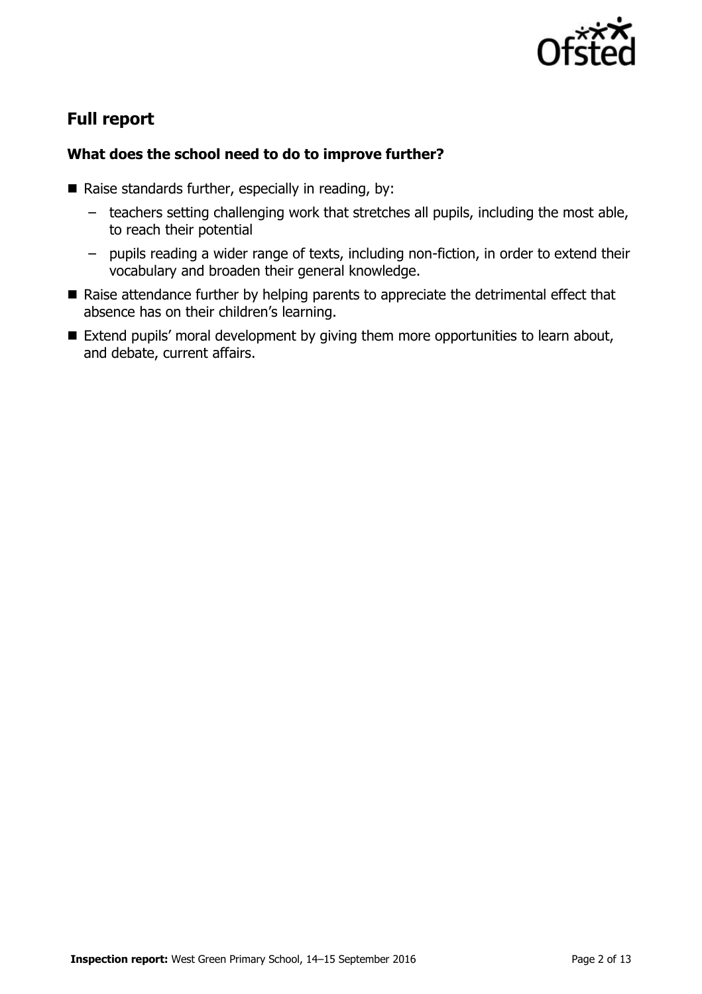

# **Full report**

### **What does the school need to do to improve further?**

- Raise standards further, especially in reading, by:
	- teachers setting challenging work that stretches all pupils, including the most able, to reach their potential
	- pupils reading a wider range of texts, including non-fiction, in order to extend their vocabulary and broaden their general knowledge.
- Raise attendance further by helping parents to appreciate the detrimental effect that absence has on their children's learning.
- Extend pupils' moral development by giving them more opportunities to learn about, and debate, current affairs.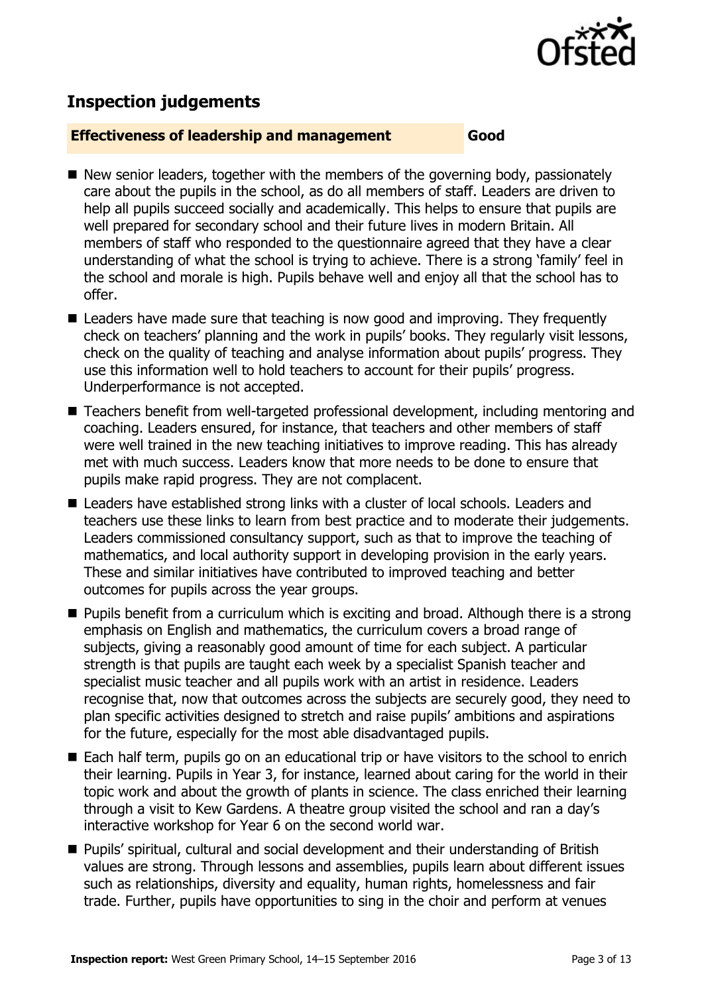

# **Inspection judgements**

#### **Effectiveness of leadership and management Good**

- New senior leaders, together with the members of the governing body, passionately care about the pupils in the school, as do all members of staff. Leaders are driven to help all pupils succeed socially and academically. This helps to ensure that pupils are well prepared for secondary school and their future lives in modern Britain. All members of staff who responded to the questionnaire agreed that they have a clear understanding of what the school is trying to achieve. There is a strong 'family' feel in the school and morale is high. Pupils behave well and enjoy all that the school has to offer.
- Leaders have made sure that teaching is now good and improving. They frequently check on teachers' planning and the work in pupils' books. They regularly visit lessons, check on the quality of teaching and analyse information about pupils' progress. They use this information well to hold teachers to account for their pupils' progress. Underperformance is not accepted.
- Teachers benefit from well-targeted professional development, including mentoring and coaching. Leaders ensured, for instance, that teachers and other members of staff were well trained in the new teaching initiatives to improve reading. This has already met with much success. Leaders know that more needs to be done to ensure that pupils make rapid progress. They are not complacent.
- Leaders have established strong links with a cluster of local schools. Leaders and teachers use these links to learn from best practice and to moderate their judgements. Leaders commissioned consultancy support, such as that to improve the teaching of mathematics, and local authority support in developing provision in the early years. These and similar initiatives have contributed to improved teaching and better outcomes for pupils across the year groups.
- **Pupils benefit from a curriculum which is exciting and broad. Although there is a strong** emphasis on English and mathematics, the curriculum covers a broad range of subjects, giving a reasonably good amount of time for each subject. A particular strength is that pupils are taught each week by a specialist Spanish teacher and specialist music teacher and all pupils work with an artist in residence. Leaders recognise that, now that outcomes across the subjects are securely good, they need to plan specific activities designed to stretch and raise pupils' ambitions and aspirations for the future, especially for the most able disadvantaged pupils.
- Each half term, pupils go on an educational trip or have visitors to the school to enrich their learning. Pupils in Year 3, for instance, learned about caring for the world in their topic work and about the growth of plants in science. The class enriched their learning through a visit to Kew Gardens. A theatre group visited the school and ran a day's interactive workshop for Year 6 on the second world war.
- Pupils' spiritual, cultural and social development and their understanding of British values are strong. Through lessons and assemblies, pupils learn about different issues such as relationships, diversity and equality, human rights, homelessness and fair trade. Further, pupils have opportunities to sing in the choir and perform at venues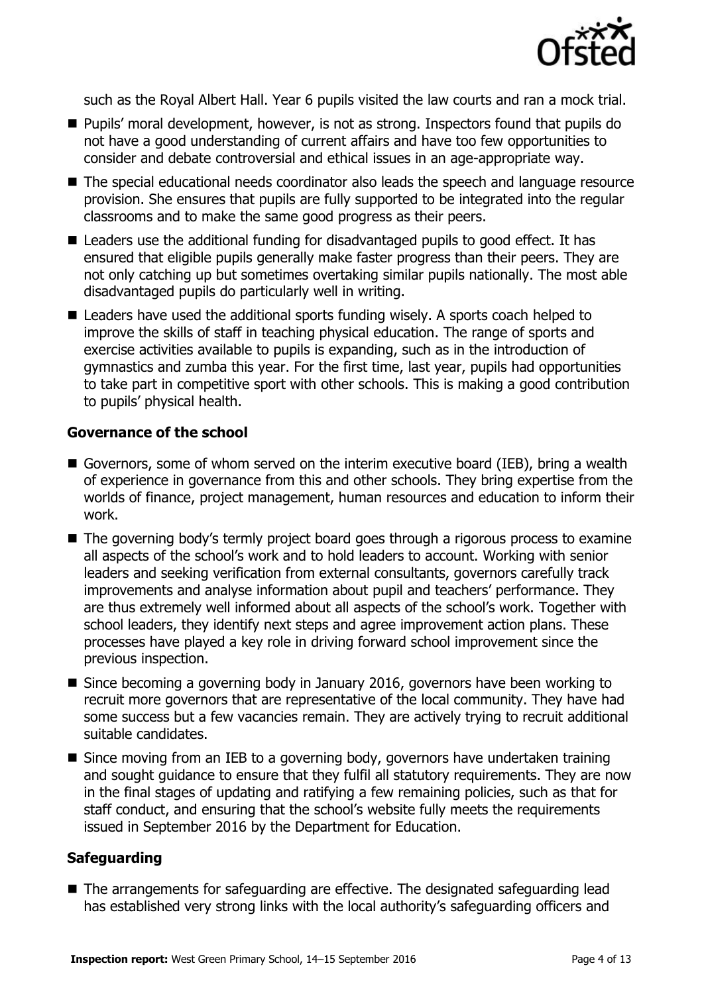

such as the Royal Albert Hall. Year 6 pupils visited the law courts and ran a mock trial.

- Pupils' moral development, however, is not as strong. Inspectors found that pupils do not have a good understanding of current affairs and have too few opportunities to consider and debate controversial and ethical issues in an age-appropriate way.
- The special educational needs coordinator also leads the speech and language resource provision. She ensures that pupils are fully supported to be integrated into the regular classrooms and to make the same good progress as their peers.
- Leaders use the additional funding for disadvantaged pupils to good effect. It has ensured that eligible pupils generally make faster progress than their peers. They are not only catching up but sometimes overtaking similar pupils nationally. The most able disadvantaged pupils do particularly well in writing.
- Leaders have used the additional sports funding wisely. A sports coach helped to improve the skills of staff in teaching physical education. The range of sports and exercise activities available to pupils is expanding, such as in the introduction of gymnastics and zumba this year. For the first time, last year, pupils had opportunities to take part in competitive sport with other schools. This is making a good contribution to pupils' physical health.

#### **Governance of the school**

- Governors, some of whom served on the interim executive board (IEB), bring a wealth of experience in governance from this and other schools. They bring expertise from the worlds of finance, project management, human resources and education to inform their work.
- The governing body's termly project board goes through a rigorous process to examine all aspects of the school's work and to hold leaders to account. Working with senior leaders and seeking verification from external consultants, governors carefully track improvements and analyse information about pupil and teachers' performance. They are thus extremely well informed about all aspects of the school's work. Together with school leaders, they identify next steps and agree improvement action plans. These processes have played a key role in driving forward school improvement since the previous inspection.
- Since becoming a governing body in January 2016, governors have been working to recruit more governors that are representative of the local community. They have had some success but a few vacancies remain. They are actively trying to recruit additional suitable candidates.
- Since moving from an IEB to a governing body, governors have undertaken training and sought guidance to ensure that they fulfil all statutory requirements. They are now in the final stages of updating and ratifying a few remaining policies, such as that for staff conduct, and ensuring that the school's website fully meets the requirements issued in September 2016 by the Department for Education.

#### **Safeguarding**

■ The arrangements for safeguarding are effective. The designated safeguarding lead has established very strong links with the local authority's safeguarding officers and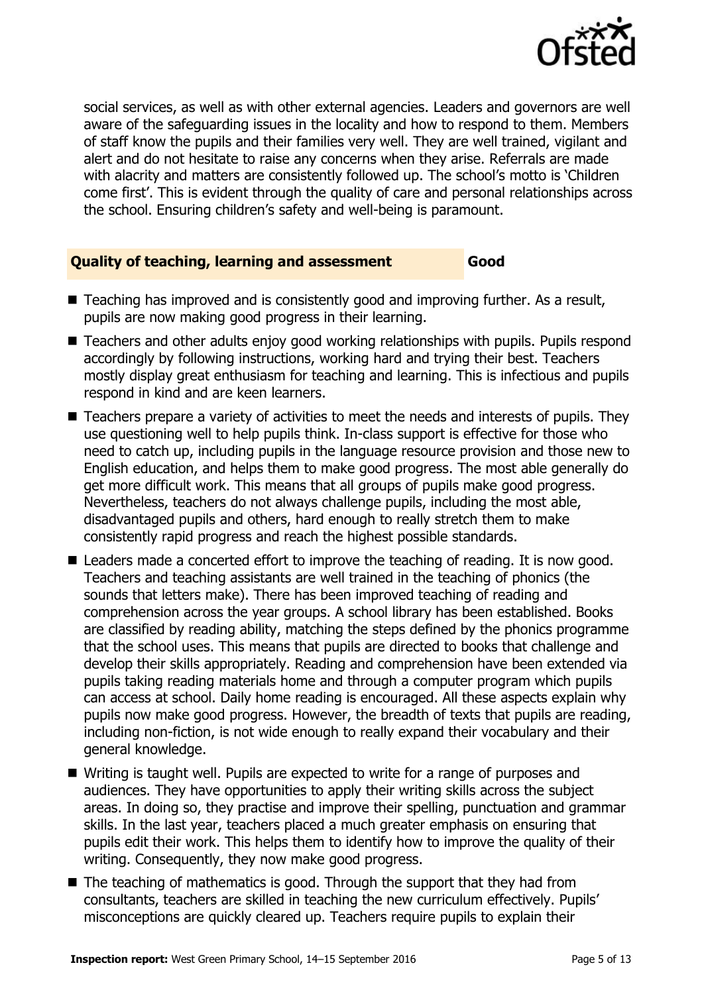

social services, as well as with other external agencies. Leaders and governors are well aware of the safeguarding issues in the locality and how to respond to them. Members of staff know the pupils and their families very well. They are well trained, vigilant and alert and do not hesitate to raise any concerns when they arise. Referrals are made with alacrity and matters are consistently followed up. The school's motto is 'Children come first'. This is evident through the quality of care and personal relationships across the school. Ensuring children's safety and well-being is paramount.

### **Quality of teaching, learning and assessment Good**

- Teaching has improved and is consistently good and improving further. As a result, pupils are now making good progress in their learning.
- Teachers and other adults enjoy good working relationships with pupils. Pupils respond accordingly by following instructions, working hard and trying their best. Teachers mostly display great enthusiasm for teaching and learning. This is infectious and pupils respond in kind and are keen learners.
- Teachers prepare a variety of activities to meet the needs and interests of pupils. They use questioning well to help pupils think. In-class support is effective for those who need to catch up, including pupils in the language resource provision and those new to English education, and helps them to make good progress. The most able generally do get more difficult work. This means that all groups of pupils make good progress. Nevertheless, teachers do not always challenge pupils, including the most able, disadvantaged pupils and others, hard enough to really stretch them to make consistently rapid progress and reach the highest possible standards.
- Leaders made a concerted effort to improve the teaching of reading. It is now good. Teachers and teaching assistants are well trained in the teaching of phonics (the sounds that letters make). There has been improved teaching of reading and comprehension across the year groups. A school library has been established. Books are classified by reading ability, matching the steps defined by the phonics programme that the school uses. This means that pupils are directed to books that challenge and develop their skills appropriately. Reading and comprehension have been extended via pupils taking reading materials home and through a computer program which pupils can access at school. Daily home reading is encouraged. All these aspects explain why pupils now make good progress. However, the breadth of texts that pupils are reading, including non-fiction, is not wide enough to really expand their vocabulary and their general knowledge.
- Writing is taught well. Pupils are expected to write for a range of purposes and audiences. They have opportunities to apply their writing skills across the subject areas. In doing so, they practise and improve their spelling, punctuation and grammar skills. In the last year, teachers placed a much greater emphasis on ensuring that pupils edit their work. This helps them to identify how to improve the quality of their writing. Consequently, they now make good progress.
- $\blacksquare$  The teaching of mathematics is good. Through the support that they had from consultants, teachers are skilled in teaching the new curriculum effectively. Pupils' misconceptions are quickly cleared up. Teachers require pupils to explain their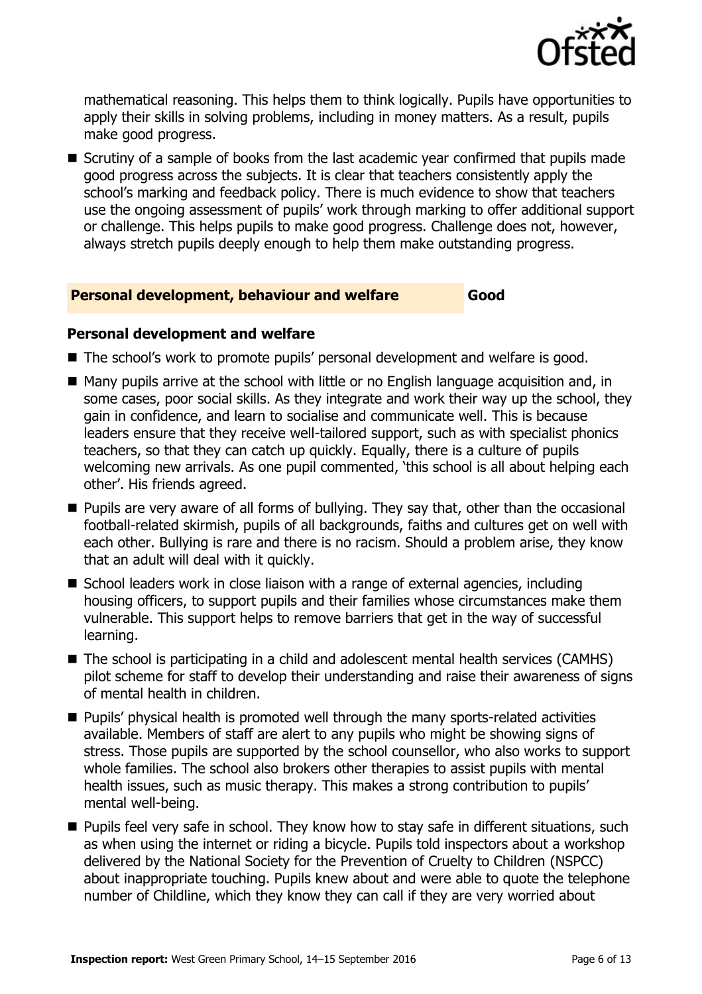

mathematical reasoning. This helps them to think logically. Pupils have opportunities to apply their skills in solving problems, including in money matters. As a result, pupils make good progress.

Scrutiny of a sample of books from the last academic year confirmed that pupils made good progress across the subjects. It is clear that teachers consistently apply the school's marking and feedback policy. There is much evidence to show that teachers use the ongoing assessment of pupils' work through marking to offer additional support or challenge. This helps pupils to make good progress. Challenge does not, however, always stretch pupils deeply enough to help them make outstanding progress.

#### **Personal development, behaviour and welfare Good**

#### **Personal development and welfare**

- The school's work to promote pupils' personal development and welfare is good.
- Many pupils arrive at the school with little or no English language acquisition and, in some cases, poor social skills. As they integrate and work their way up the school, they gain in confidence, and learn to socialise and communicate well. This is because leaders ensure that they receive well-tailored support, such as with specialist phonics teachers, so that they can catch up quickly. Equally, there is a culture of pupils welcoming new arrivals. As one pupil commented, 'this school is all about helping each other'. His friends agreed.
- **Pupils are very aware of all forms of bullying. They say that, other than the occasional** football-related skirmish, pupils of all backgrounds, faiths and cultures get on well with each other. Bullying is rare and there is no racism. Should a problem arise, they know that an adult will deal with it quickly.
- School leaders work in close liaison with a range of external agencies, including housing officers, to support pupils and their families whose circumstances make them vulnerable. This support helps to remove barriers that get in the way of successful learning.
- The school is participating in a child and adolescent mental health services (CAMHS) pilot scheme for staff to develop their understanding and raise their awareness of signs of mental health in children.
- **Pupils'** physical health is promoted well through the many sports-related activities available. Members of staff are alert to any pupils who might be showing signs of stress. Those pupils are supported by the school counsellor, who also works to support whole families. The school also brokers other therapies to assist pupils with mental health issues, such as music therapy. This makes a strong contribution to pupils' mental well-being.
- **Pupils feel very safe in school. They know how to stay safe in different situations, such** as when using the internet or riding a bicycle. Pupils told inspectors about a workshop delivered by the National Society for the Prevention of Cruelty to Children (NSPCC) about inappropriate touching. Pupils knew about and were able to quote the telephone number of Childline, which they know they can call if they are very worried about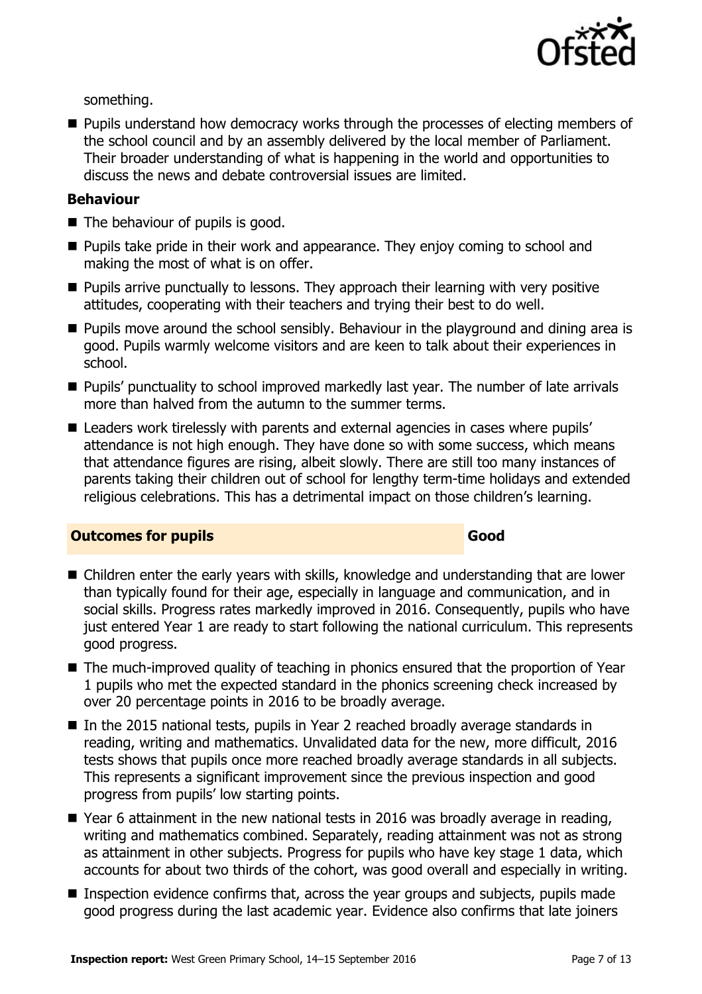

something.

**Pupils understand how democracy works through the processes of electing members of** the school council and by an assembly delivered by the local member of Parliament. Their broader understanding of what is happening in the world and opportunities to discuss the news and debate controversial issues are limited.

#### **Behaviour**

- The behaviour of pupils is good.
- **Pupils take pride in their work and appearance. They enjoy coming to school and** making the most of what is on offer.
- $\blacksquare$  Pupils arrive punctually to lessons. They approach their learning with very positive attitudes, cooperating with their teachers and trying their best to do well.
- **Pupils move around the school sensibly. Behaviour in the playground and dining area is** good. Pupils warmly welcome visitors and are keen to talk about their experiences in school.
- Pupils' punctuality to school improved markedly last year. The number of late arrivals more than halved from the autumn to the summer terms.
- Leaders work tirelessly with parents and external agencies in cases where pupils' attendance is not high enough. They have done so with some success, which means that attendance figures are rising, albeit slowly. There are still too many instances of parents taking their children out of school for lengthy term-time holidays and extended religious celebrations. This has a detrimental impact on those children's learning.

#### **Outcomes for pupils Good Good**

- Children enter the early years with skills, knowledge and understanding that are lower than typically found for their age, especially in language and communication, and in social skills. Progress rates markedly improved in 2016. Consequently, pupils who have just entered Year 1 are ready to start following the national curriculum. This represents good progress.
- The much-improved quality of teaching in phonics ensured that the proportion of Year 1 pupils who met the expected standard in the phonics screening check increased by over 20 percentage points in 2016 to be broadly average.
- In the 2015 national tests, pupils in Year 2 reached broadly average standards in reading, writing and mathematics. Unvalidated data for the new, more difficult, 2016 tests shows that pupils once more reached broadly average standards in all subjects. This represents a significant improvement since the previous inspection and good progress from pupils' low starting points.
- Year 6 attainment in the new national tests in 2016 was broadly average in reading, writing and mathematics combined. Separately, reading attainment was not as strong as attainment in other subjects. Progress for pupils who have key stage 1 data, which accounts for about two thirds of the cohort, was good overall and especially in writing.
- Inspection evidence confirms that, across the year groups and subjects, pupils made good progress during the last academic year. Evidence also confirms that late joiners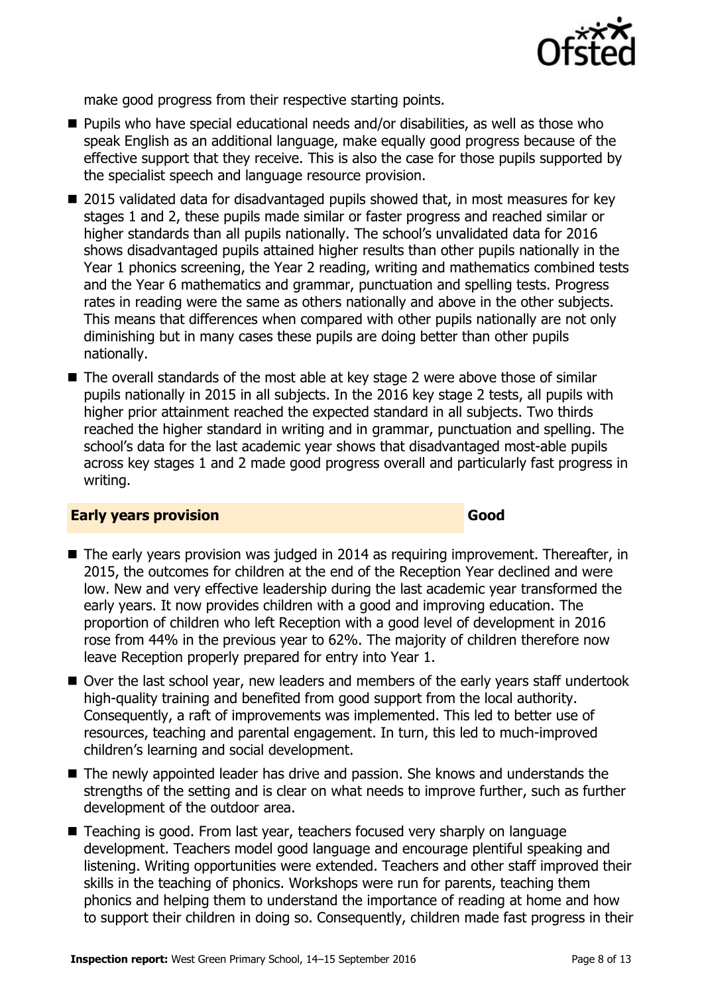

make good progress from their respective starting points.

- Pupils who have special educational needs and/or disabilities, as well as those who speak English as an additional language, make equally good progress because of the effective support that they receive. This is also the case for those pupils supported by the specialist speech and language resource provision.
- 2015 validated data for disadvantaged pupils showed that, in most measures for key stages 1 and 2, these pupils made similar or faster progress and reached similar or higher standards than all pupils nationally. The school's unvalidated data for 2016 shows disadvantaged pupils attained higher results than other pupils nationally in the Year 1 phonics screening, the Year 2 reading, writing and mathematics combined tests and the Year 6 mathematics and grammar, punctuation and spelling tests. Progress rates in reading were the same as others nationally and above in the other subjects. This means that differences when compared with other pupils nationally are not only diminishing but in many cases these pupils are doing better than other pupils nationally.
- The overall standards of the most able at key stage 2 were above those of similar pupils nationally in 2015 in all subjects. In the 2016 key stage 2 tests, all pupils with higher prior attainment reached the expected standard in all subjects. Two thirds reached the higher standard in writing and in grammar, punctuation and spelling. The school's data for the last academic year shows that disadvantaged most-able pupils across key stages 1 and 2 made good progress overall and particularly fast progress in writing.

#### **Early years provision Good**

- The early years provision was judged in 2014 as requiring improvement. Thereafter, in 2015, the outcomes for children at the end of the Reception Year declined and were low. New and very effective leadership during the last academic year transformed the early years. It now provides children with a good and improving education. The proportion of children who left Reception with a good level of development in 2016 rose from 44% in the previous year to 62%. The majority of children therefore now leave Reception properly prepared for entry into Year 1.
- Over the last school year, new leaders and members of the early years staff undertook high-quality training and benefited from good support from the local authority. Consequently, a raft of improvements was implemented. This led to better use of resources, teaching and parental engagement. In turn, this led to much-improved children's learning and social development.
- The newly appointed leader has drive and passion. She knows and understands the strengths of the setting and is clear on what needs to improve further, such as further development of the outdoor area.
- Teaching is good. From last year, teachers focused very sharply on language development. Teachers model good language and encourage plentiful speaking and listening. Writing opportunities were extended. Teachers and other staff improved their skills in the teaching of phonics. Workshops were run for parents, teaching them phonics and helping them to understand the importance of reading at home and how to support their children in doing so. Consequently, children made fast progress in their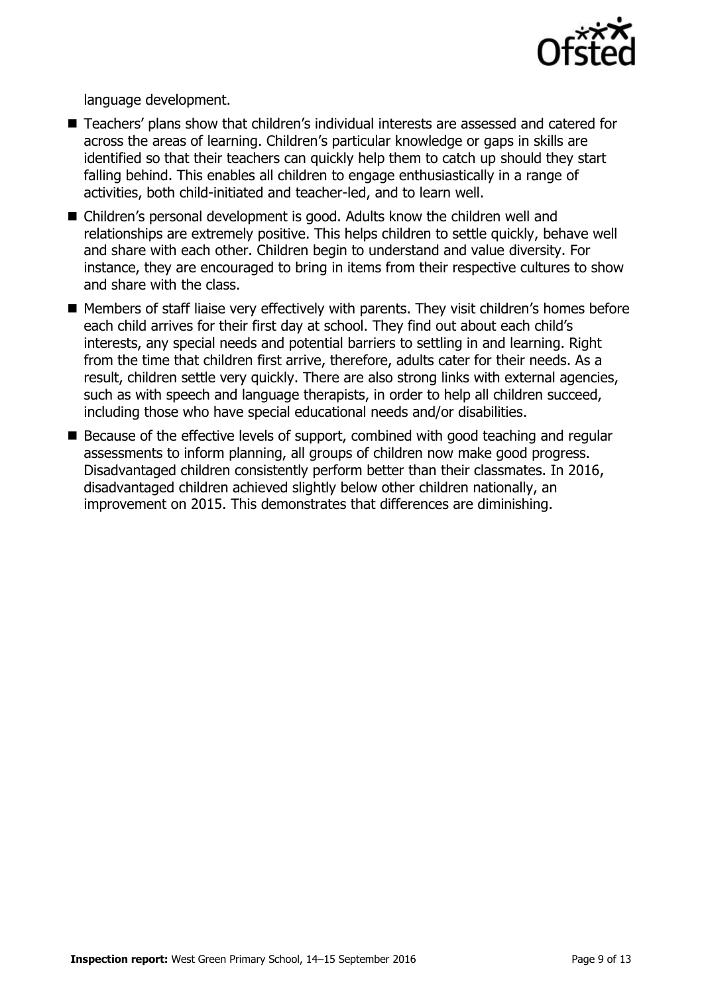

language development.

- Teachers' plans show that children's individual interests are assessed and catered for across the areas of learning. Children's particular knowledge or gaps in skills are identified so that their teachers can quickly help them to catch up should they start falling behind. This enables all children to engage enthusiastically in a range of activities, both child-initiated and teacher-led, and to learn well.
- Children's personal development is good. Adults know the children well and relationships are extremely positive. This helps children to settle quickly, behave well and share with each other. Children begin to understand and value diversity. For instance, they are encouraged to bring in items from their respective cultures to show and share with the class.
- **Members of staff liaise very effectively with parents. They visit children's homes before** each child arrives for their first day at school. They find out about each child's interests, any special needs and potential barriers to settling in and learning. Right from the time that children first arrive, therefore, adults cater for their needs. As a result, children settle very quickly. There are also strong links with external agencies, such as with speech and language therapists, in order to help all children succeed, including those who have special educational needs and/or disabilities.
- Because of the effective levels of support, combined with good teaching and regular assessments to inform planning, all groups of children now make good progress. Disadvantaged children consistently perform better than their classmates. In 2016, disadvantaged children achieved slightly below other children nationally, an improvement on 2015. This demonstrates that differences are diminishing.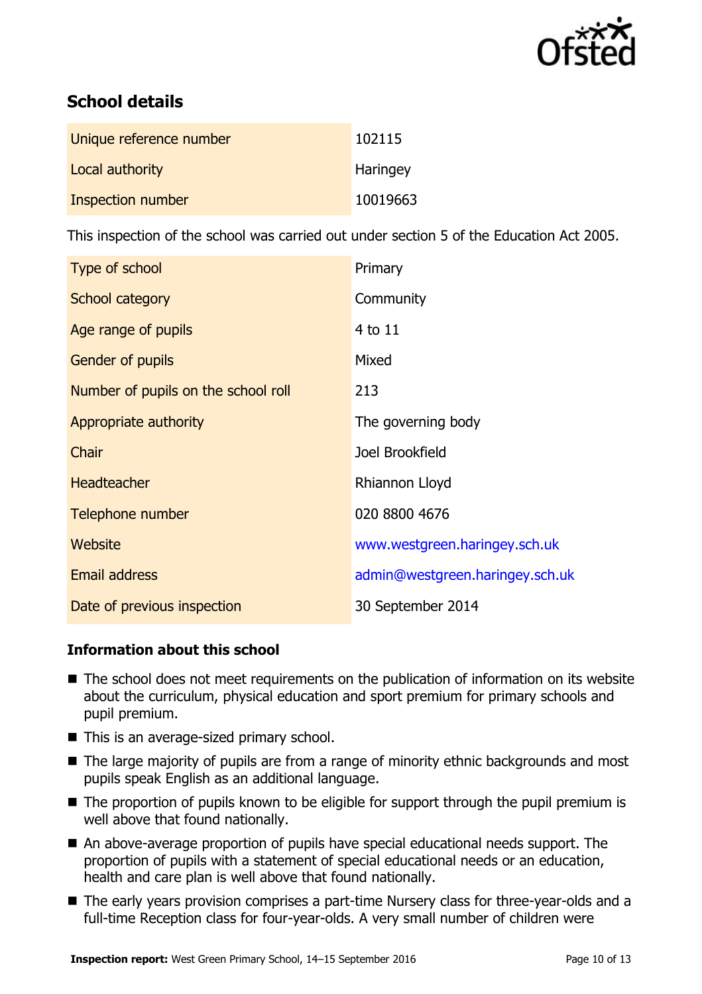

# **School details**

| Unique reference number | 102115   |
|-------------------------|----------|
| Local authority         | Haringey |
| Inspection number       | 10019663 |

This inspection of the school was carried out under section 5 of the Education Act 2005.

| Type of school                      | Primary                         |
|-------------------------------------|---------------------------------|
| School category                     | Community                       |
| Age range of pupils                 | 4 to 11                         |
| <b>Gender of pupils</b>             | Mixed                           |
| Number of pupils on the school roll | 213                             |
| Appropriate authority               | The governing body              |
| Chair                               | Joel Brookfield                 |
| <b>Headteacher</b>                  | Rhiannon Lloyd                  |
| Telephone number                    | 020 8800 4676                   |
| Website                             | www.westgreen.haringey.sch.uk   |
| <b>Email address</b>                | admin@westgreen.haringey.sch.uk |
| Date of previous inspection         | 30 September 2014               |

### **Information about this school**

- The school does not meet requirements on the publication of information on its website about the curriculum, physical education and sport premium for primary schools and pupil premium.
- This is an average-sized primary school.
- The large majority of pupils are from a range of minority ethnic backgrounds and most pupils speak English as an additional language.
- The proportion of pupils known to be eligible for support through the pupil premium is well above that found nationally.
- An above-average proportion of pupils have special educational needs support. The proportion of pupils with a statement of special educational needs or an education, health and care plan is well above that found nationally.
- The early years provision comprises a part-time Nursery class for three-year-olds and a full-time Reception class for four-year-olds. A very small number of children were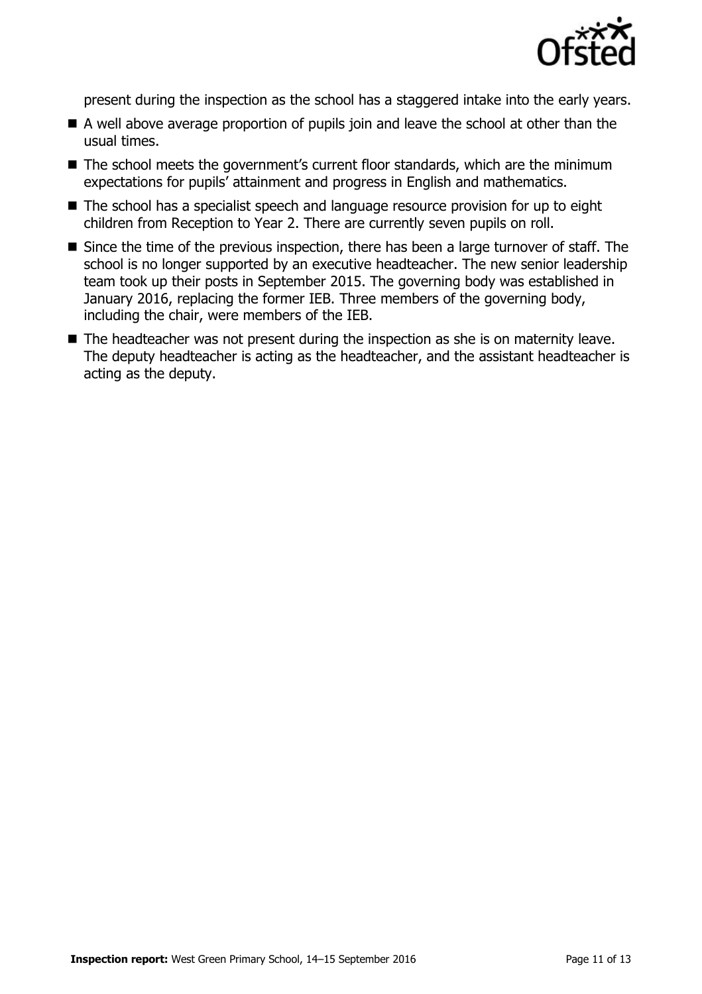

present during the inspection as the school has a staggered intake into the early years.

- A well above average proportion of pupils join and leave the school at other than the usual times.
- The school meets the government's current floor standards, which are the minimum expectations for pupils' attainment and progress in English and mathematics.
- The school has a specialist speech and language resource provision for up to eight children from Reception to Year 2. There are currently seven pupils on roll.
- Since the time of the previous inspection, there has been a large turnover of staff. The school is no longer supported by an executive headteacher. The new senior leadership team took up their posts in September 2015. The governing body was established in January 2016, replacing the former IEB. Three members of the governing body, including the chair, were members of the IEB.
- The headteacher was not present during the inspection as she is on maternity leave. The deputy headteacher is acting as the headteacher, and the assistant headteacher is acting as the deputy.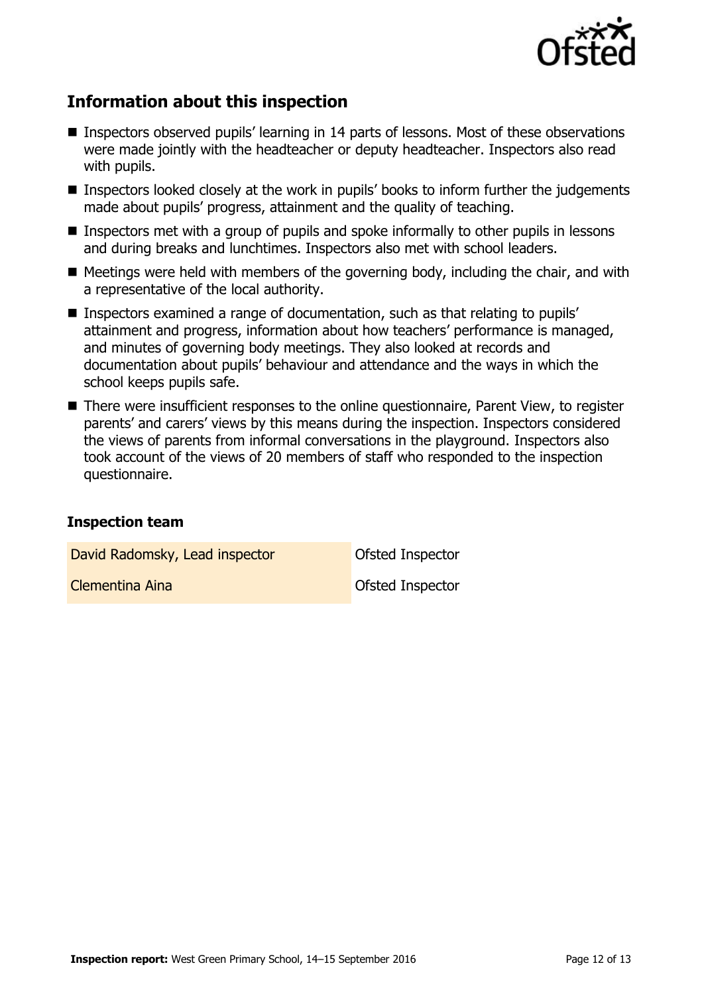

# **Information about this inspection**

- Inspectors observed pupils' learning in 14 parts of lessons. Most of these observations were made jointly with the headteacher or deputy headteacher. Inspectors also read with pupils.
- Inspectors looked closely at the work in pupils' books to inform further the judgements made about pupils' progress, attainment and the quality of teaching.
- Inspectors met with a group of pupils and spoke informally to other pupils in lessons and during breaks and lunchtimes. Inspectors also met with school leaders.
- $\blacksquare$  Meetings were held with members of the governing body, including the chair, and with a representative of the local authority.
- Inspectors examined a range of documentation, such as that relating to pupils' attainment and progress, information about how teachers' performance is managed, and minutes of governing body meetings. They also looked at records and documentation about pupils' behaviour and attendance and the ways in which the school keeps pupils safe.
- There were insufficient responses to the online questionnaire, Parent View, to register parents' and carers' views by this means during the inspection. Inspectors considered the views of parents from informal conversations in the playground. Inspectors also took account of the views of 20 members of staff who responded to the inspection questionnaire.

#### **Inspection team**

David Radomsky, Lead inspector **David Radomsky**, Lead inspector

**Clementina Aina Clementina Aina Clementina Aina Ofsted Inspector**